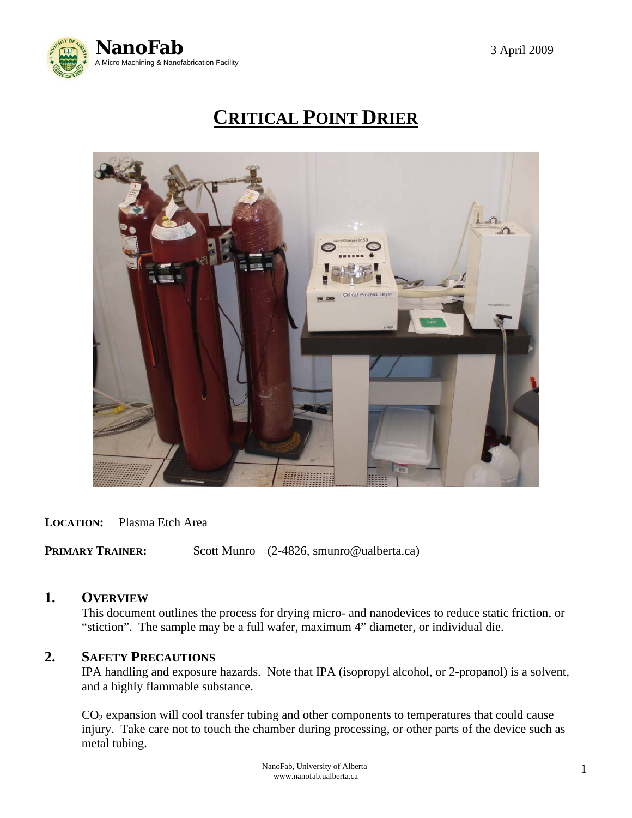

# **CRITICAL POINT DRIER**



#### **LOCATION:** Plasma Etch Area

**PRIMARY TRAINER:** Scott Munro (2-4826, smunro@ualberta.ca)

#### **1. OVERVIEW**

This document outlines the process for drying micro- and nanodevices to reduce static friction, or "stiction". The sample may be a full wafer, maximum 4" diameter, or individual die.

# **2. SAFETY PRECAUTIONS**

 IPA handling and exposure hazards. Note that IPA (isopropyl alcohol, or 2-propanol) is a solvent, and a highly flammable substance.

 CO2 expansion will cool transfer tubing and other components to temperatures that could cause injury. Take care not to touch the chamber during processing, or other parts of the device such as metal tubing.